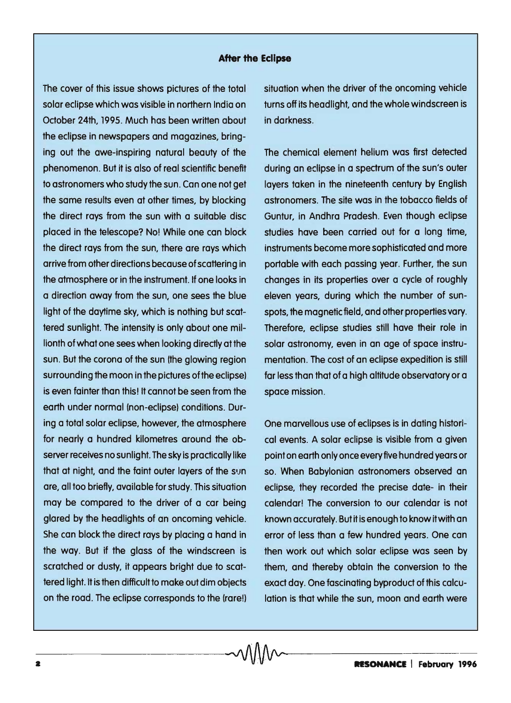## **After the Eclipse**

The cover of this issue shows pictures of the total solar eclipse which was visible in northern India on October 24th, 1995. Much has been written about the eclipse in newspapers and magazines, bringing out the awe-inspiring natural beauty of the phenomenon. But it is also of real scientific benefit to astronomers who study the sun. Can one not get the same results even at other times, by blocking the direct rays from the sun with a suitable disc placed in the telescope? No! While one can block the direct rays from the sun, there are rays which arrive from other directions because of scattering in the atmosphere or in the instrument. If one looks in a direction away from the sun, one sees the blue light of the daytime sky, which is nothing but scattered sunlight. The intensity is only about one millionth of what one sees when looking directly at the sun. But the corona of the sun (the glowing region surrounding the moon in the pictures of the eclipse) is even fainter than this! It cannot be seen from the earth under normal (non-eclipse) conditions. During a total solar eclipse, however, the atmosphere for nearly a hundred kilometres around the observer receives no sunlight. The sky is practically like that at night, and the faint outer layers of the sun are, all too briefly, available for study. This situation may be compared to the driver of a car being glared by the headlights of an oncoming vehicle. She can block the direct rays by placing a hand in the way. But if the glass of the windscreen is scratched or dusty, it appears bright due to scattered light. It is then difficult to make out dim objects on the road. The eclipse corresponds to the (rare!)

situation when the driver of the oncoming vehicle turns off its headlight, and the whole windscreen is in darkness.

The chemical element helium was first detected during an eclipse in a spectrum of the sun's outer layers taken in the nineteenth century by English astronomers. The site was in the tobacco fields of Guntur, in Andhra Pradesh. Even though eclipse studies have been carried out for a long time, instruments become more sophisticated and more portable with each passing year. Further, the sun changes in its properties over a cycle of roughly eleven years, during which the number of sunspots, the magnetic field, and other properties vary. Therefore, eclipse studies still have their role in solar astronomy, even in an age of space instrumentation. The cost of an eclipse expedition is still far less than that of a high altitude observatory or a space mission.

One marvellous use of eclipses is in dating historical events. A solar eclipse is visible from a given point on earth only once every five hundred years or so. When Babylonian astronomers observed an eclipse, they recorded the precise date- in their calendar! The conversion to our calendar is not known accurately. But it is enough to know it with an error of less than a few hundred years. One can then work out which solar eclipse was seen by them, and thereby obtain the conversion to the exact day. One fascinating byproduct of this calculation is that while the sun, moon and earth were

 $\sim$   $\sqrt{11}$